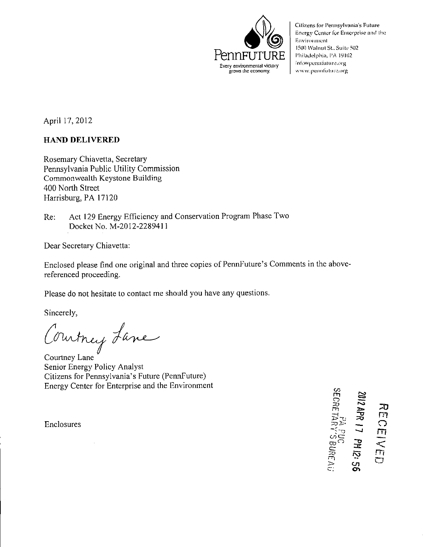

Citizens for Pennsylvania's Future Energy Center for Enterprise and the Enviroiunent 1500 Walnut St., Suite 502 Philadelphia, PA 19102 info@pennfuture.org www.pennfuture.org

April 17, 2012

## **HAND DELIVERED**

Rosemary Chiavetta, Secretary Pennsylvania Public Utility Commission Commonwealth Keystone Building 400 North Street Harrisburg, PA 17120

Re: Act 129 Energy Efficiency and Conservation Program Phase Two Docket No. M-2012-2289411

Dear Secretary Chiavetta:

Enclosed please find one original and three copies of PennFuture's Comments in the abovereferenced proceeding.

Please do not hesitate to contact me should you have any questions.

Sincerely,

Countney Lane

Senior Energy Policy Analyst Citizens for Pennsylvania's Future (PennFuture) Energy Center for Enterprise and the Environment

Enclosures

 $\bm{\sigma}$ rn  $\Xi$ ∽ rn Has. <u>ನ್ನ</u>  $\frac{1}{\sqrt{2}}\frac{\Delta}{\Delta}$ co ~ l (2: 56<br>URE A i: ~o ה<br>ת  $\ddot{\Omega}$ <u>مر</u>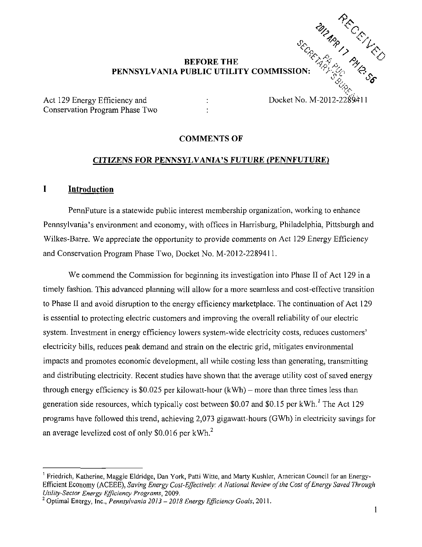# *BEFORE THE ^<' <sup>A</sup>* **PENNSYLVANIA PUBLIC UTILITY COMMISSION:**

Act 129 Energy Efficiency and : Docket No. M-2012-22 Conservation Program Phase Two :

#### **COMMENTS OF**

#### **CITIZENS FOR PENNSYLVANIA'S FUTURE (PENNFUTURE)**

#### **I Introduction**

PennFuture is a statewide public interest membership organization, working to enhance Pennsylvania's environment and economy, with offices in Harrisburg, Philadelphia, Pittsburgh and Wilkes-Barre. We appreciate the opportunity to provide comments on Act 129 Energy Efficiency and Conservation Program Phase Two, Docket No. M-2012-2289411.

We commend the Commission for beginning its investigation into Phase II of Act 129 in a timely fashion. This advanced planning will allow for a more seamless and cost-effective transition to Phase II and avoid disruption to the energy efficiency marketplace. The continuation of Act 129 is essential to protecting electric customers and improving the overall reliability of our electric system. Investment in energy efficiency lowers system-wide electricity costs, reduces customers' electricity bills, reduces peak demand and strain on the electric grid, mitigates environmental impacts and promotes economic development, all while costing less than generating, transmitting and distributing electricity. Recent studies have shown that the average utility cost of saved energy through energy efficiency is  $$0.025$  per kilowatt-hour (kWh) – more than three times less than generation side resources, which typically cost between \$0.07 and \$0.15 per kWh.' The Act 129 programs have followed this trend, achieving 2,073 gigawatt-hours (GWh) in electricity savings for an average levelized cost of only  $$0.016$  per kWh.<sup>2</sup>

<sup>1</sup> Friedrich. Katherine, Maggie Eldridge, Dan York, Patti Witte, and Marty Kushler, American Council for an Energy-Efficient Economy (ACEEE), Saving Energy Cost-Effectively: A National Review of the Cost of Energy Saved Through Utility-Sector Energy Efficiency Programs, 2009.

<sup>&</sup>lt;sup>2</sup> Optimal Energy, Inc., Pennsylvania 2013 – 2018 Energy Efficiency Goals, 2011.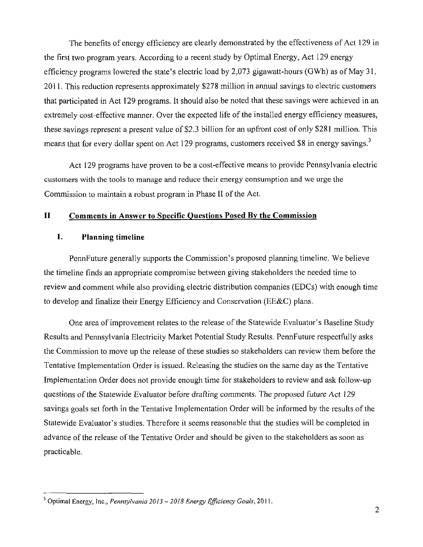The benefits of energy efficiency are clearly demonstrated by the effectiveness of Act 129 in the first two program years. According to a recent study by Optimal Energy, Act 129 energy efficiency programs lowered the state's electric load by 2.073 gigawatt-hours (GWh) as of May 31, 2011. This reduction represents approximately \$278 million in annual savings to electric customers that participated in Act 129 programs. It should also be noted that these savings were achieved in an extremely cost-effective manner. Over the expected life of the installed energy efficiency measures, these savings represent a present value of \$2.3 billion for an upfront cost of only \$281 million. This means that for every dollar spent on Act 129 programs, customers received \$8 in energy savings.<sup>3</sup>

Act 129 programs have proven to be a cost-effective means to provide Pennsylvania electric customers with the tools to manage and reduce their energy consumption and we urge the Commission to maintain a robust program in Phase II of the Act.

#### **II Comments in Answer to Specific Questions Posed By the Commission**

#### **1. Planning timeline**

PennFuture generally supports the Commission's proposed planning timeline. We believe the timeline finds an appropriate compromise between giving stakeholders the needed time to review and comment while also providing electric distribution companies (EDCs) with enough time to develop and finalize their Energy Efficiency and Conservation (EE&C) plans.

One area of improvement relates to the release of the Statewide Evaluator's Baseline Study Results and Pennsylvania Electricity Market Potential Study Results. PennFuture respectfully asks the Commission to move up the release of these studies so stakeholders can review them before the Tentative Implementation Order is issued. Releasing the studies on the same day as the Tentative Implementation Order does not provide enough time for stakeholders to review and ask follow-up questions of the Statewide Evaluator before drafting comments. The proposed future Act 129 savings goals set forth in the Tentative Implementation Order will be informed by the results of the Statewide Evaluator's studies. Therefore it seems reasonable that the studies will be completed in advance of the release of the Tentative Order and should be given to the stakeholders as soon as practicable.

 $3$  Optimal Energy, Inc., Pennsylvania 2013 - 2018 Energy Efficiency Goals, 2011.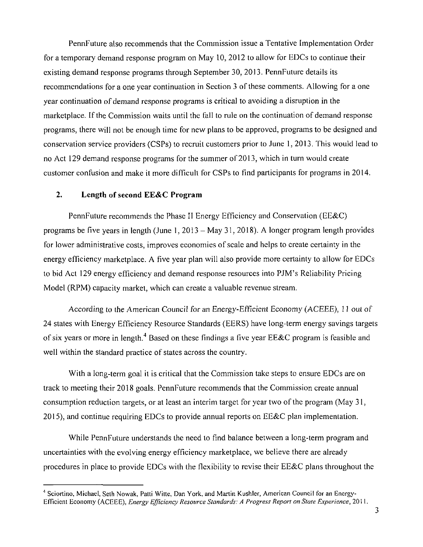PennFuture also recommends that the Commission issue a Tentative Implementation Order for a temporary demand response program on May 10, 2012 to allow for EDCs to continue their existing demand response programs through September 30, 2013. PennFuture details its recommendations for a one year continuation in Section 3 of these comments. Allowing for a one year continuation of demand response programs is critical to avoiding a disruption in the marketplace. If the Commission waits until the fall to rule on the continuation of demand response programs, there will not be enough time for new plans to be approved, programs to be designed and conservation service providers (CSPs) to recruit customers prior to June 1, 2013. This would lead to no Act 129 demand response programs for the summer of 2013, which in turn would create customer confusion and make it more difficult for CSPs to find participants for programs in 2014.

#### **2. Length of second EE&C Program**

PennFuture recommends the Phase II Energy Efficiency and Conservation (EE&C) programs be five years in length (June 1, 2013 - May 31, 2018). A longer program length provides for lower administrative costs, improves economies of scale and helps to create certainty in the energy efficiency marketplace. A five year plan will also provide more certainty to allow for EDCs to bid Act 129 energy efficiency and demand response resources into PJM's Reliability Pricing Model (RPM) capacity market, which can create a valuable revenue stream.

According to the American Council for an Energy-Efficient Economy (ACEEE), 11 out of 24 states with Energy Efficiency Resource Standards (EERS) have long-term energy savings targets of six years or more in length.<sup>4</sup> Based on these findings a five year EE&C program is feasible and well within the standard practice of states across the country.

With a long-term goal it is critical that the Commission take steps to ensure EDCs are on track to meeting their 2018 goals. PennFuture recommends that the Commission create annual consumption reduction targets, or at least an interim target for year two of the program (May 31, 2015), and continue requiring EDCs to provide annual reports on EE&C plan implementation.

While PennFuture understands the need to find balance between a long-term program and uncertainties with the evolving energy efficiency marketplace, we believe there are already procedures in place to provide EDCs with the flexibility to revise their EE&C plans throughout the

<sup>4</sup> Sciortino, Michael, Seth Nowak, Patti Witte, Dan York, and Martin Kushler, American Council for an Energy-Efficient Economy (ACEEE), Energy Efficiency Resource Standards: A Progress Report on State Experience, 2011.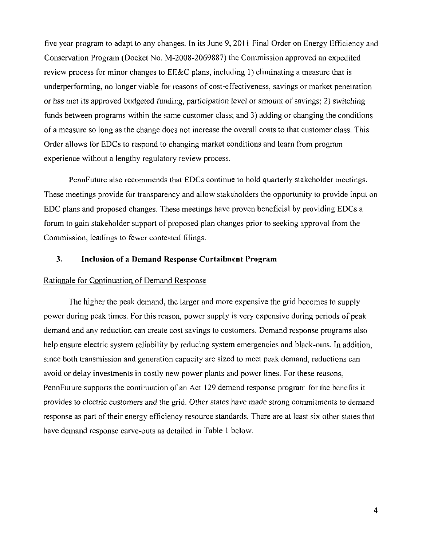five year program to adapt to any changes. In its June 9, 2011 Final Order on Energy Efficiency and Conservation Program (Docket No. M-2008-2069887) the Commission approved an expedited review process for minor changes to EE&C plans, including 1) eliminating a measure that is underperforming, no longer viable for reasons of cost-effectiveness, savings or market penetration or has met its approved budgeted funding, participation level or amount of savings; 2) switching funds between programs within the same customer class; and 3) adding or changing the conditions of a measure so long as the change does not increase the overall costs to that customer class. This Order allows for EDCs to respond to changing market conditions and learn from program experience without a lengthy regulatory review process.

PennFuture also recommends that EDCs continue to hold quarterly stakeholder meetings. These meetings provide for transparency and allow stakeholders the opportunity to provide input on EDC plans and proposed changes. These meetings have proven beneficial by providing EDCs a forum to gain stakeholder support of proposed plan changes prior to seeking approval from the Commission, leadings to fewer contested filings.

#### **3. Inclusion of a Demand Response Curtailment Program**

#### Rationale for Continuation of Demand Response

The higher the peak demand, the larger and more expensive the grid becomes to supply power during peak times. For this reason, power supply is very expensive during periods of peak demand and any reduction can create cost savings to customers. Demand response programs also help ensure electric system reliability by reducing system emergencies and black-outs. In addition, since both transmission and generation capacity are sized to meet peak demand, reductions can avoid or delay investments in costly new power plants and power lines. For these reasons, PennFuture supports the continuation of an Act 129 demand response program for the benefits it provides to electric customers and the grid. Other states have made strong commitments to demand response as part of their energy efficiency resource standards. There are at least six other states that have demand response carve-outs as detailed in Table 1 below.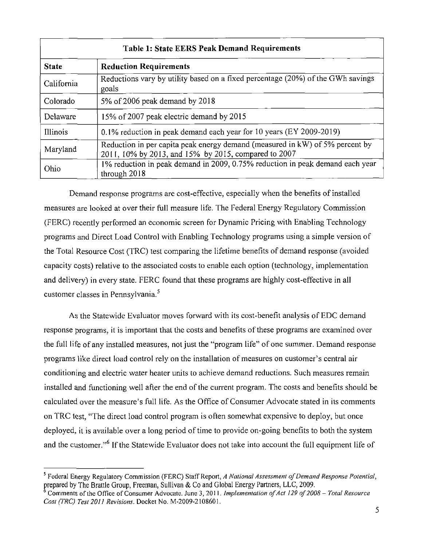| <b>Table 1: State EERS Peak Demand Requirements</b> |                                                                                                                                      |  |  |  |  |  |  |
|-----------------------------------------------------|--------------------------------------------------------------------------------------------------------------------------------------|--|--|--|--|--|--|
| <b>State</b>                                        | <b>Reduction Requirements</b>                                                                                                        |  |  |  |  |  |  |
| California                                          | Reductions vary by utility based on a fixed percentage (20%) of the GWh savings<br>goals                                             |  |  |  |  |  |  |
| Colorado                                            | 5% of 2006 peak demand by 2018                                                                                                       |  |  |  |  |  |  |
| Delaware                                            | 15% of 2007 peak electric demand by 2015                                                                                             |  |  |  |  |  |  |
| Illinois                                            | 0.1% reduction in peak demand each year for 10 years (EY 2009-2019)                                                                  |  |  |  |  |  |  |
| Maryland                                            | Reduction in per capita peak energy demand (measured in kW) of 5% percent by<br>2011, 10% by 2013, and 15% by 2015, compared to 2007 |  |  |  |  |  |  |
| Ohio                                                | 1% reduction in peak demand in 2009, 0.75% reduction in peak demand each year<br>through 2018                                        |  |  |  |  |  |  |

Demand response programs are cost-effective, especially when the benefits of installed measures are looked at over their full measure life. The Federal Energy Regulatory Commission (FERC) recently performed an economic screen for Dynamic Pricing wilh Enabling Technology programs and Direct Load Control with Enabling Technology programs using a simple version of the Total Resource Cost (TRC) test comparing the lifetime benefits of demand response (avoided capacity costs) relative to the associated costs to enable each option (technology, implementation and delivery) in every state. FERC found that these programs are highly cost-effective in all customer classes in Pennsylvania.<sup>5</sup>

As the Statewide Evaluator moves forward with its cost-benefit analysis of EDC demand response programs, it is important that the costs and benefits of these programs are examined over the full life of any installed measures, not just the "program life" of one summer. Demand response programs like direct load control rely on the installation of measures on customer's central air conditioning and electric water heater units to achieve demand reductions. Such measures remain installed and functioning well after the end of Ihe current program. The costs and benefits should be calculated over the measure's full life. As the Office of Consumer Advocate stated in its comments on TRC test, "The direct load control program is often somewhat expensive to deploy, but once deployed, it is available over a long period of time to provide on-going benefits to both the system and the customer."<sup>6</sup> If the Statewide Evaluator does not take into account the full equipment life of

<sup>&</sup>lt;sup>5</sup> Federal Energy Regulatory Commission (FERC) Staff Report, A National Assessment of Demand Response Potential, prepared by The Brattle Group, Freeman, Sullivan & Co and Global Energy Partners, LLC, 2009.

Comments of the Office of Consumer Advocate. June 3, 2011. Implementation of Act 129 of 2008 – Total Resource Cost (TRC) Test 2011 Revisions. Docket No. M-2009-2108601.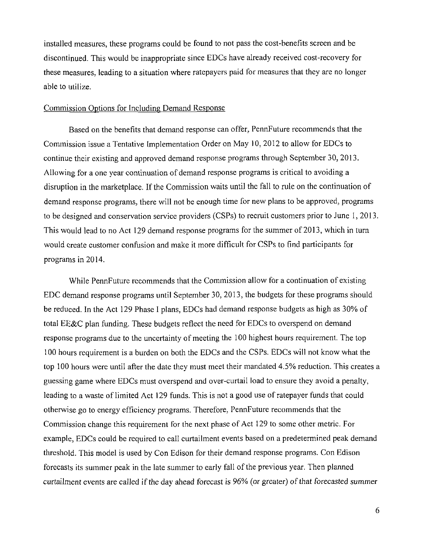installed measures, these programs could be found to not pass the cost-benefits screen and be discontinued. This would be inappropriate since EDCs have already received cost-recovery for these measures, leading to a situation where ratepayers paid for measures that they are no longer able to utilize.

#### Commission Options for Including Demand Response

Based on the benefits that demand response can offer, PennFuture recommends that the Commission issue a Tentative Implementation Order on May 10, 2012 to allow for EDCs to continue their existing and approved demand response programs through September 30. 2013. Allowing for a one year continuation of demand response programs is critical to avoiding a disruption in the marketplace. If the Commission waits until the fall to rule on the continuation of demand response programs, there will not be enough time for new plans to be approved, programs to be designed and conservation service providers (CSPs) to recruit customers prior to June 1, 2013. This would lead to no Act 129 demand response programs for the summer of 2013, which in turn would create customer confusion and make it more difficult for CSPs to find participants for programs in 2014.

While PennFuture recommends that the Commission allow for a continuation of existing EDC demand response programs until September 30, 2013, the budgets for these programs should be reduced. In the Act 129 Phase I plans, EDCs had demand response budgets as high as 30% of total EE&C plan funding. These budgets reflect the need for EDCs to overspend on demand response programs due to the uncertainty of meeting the 100 highest hours requirement. The top 100 hours requirement is a burden on both the EDCs and the CSPs. EDCs will not know what the top 100 hours were until after the date they must meet their mandated 4.5% reduction. This creates a guessing game where EDCs must overspend and over-curtail load to ensure they avoid a penalty, leading to a waste of limited Act 129 funds. This is not a good use of ratepayer funds that could otherwise go to energy efficiency programs. Therefore, PennFuture recommends that the Commission change this requirement for the next phase of Act 129 to some other metric. For example, EDCs could be required to call curtailment events based on a predetermined peak demand threshold. This model is used by Con Edison for their demand response programs. Con Edison forecasts its summer peak in the late summer to early fall of the previous year. Then planned curtailment events are called if the day ahead forecast is 96% (or greater) of that forecasted summer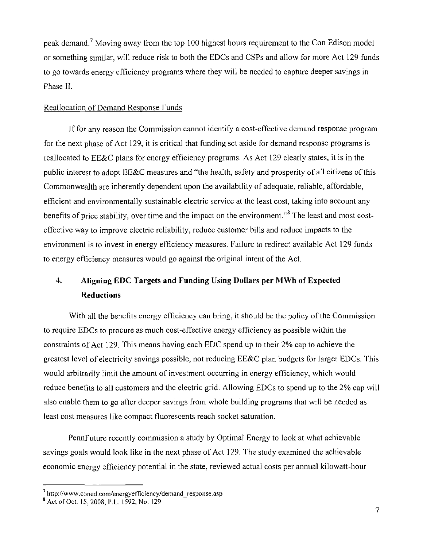peak demand.<sup>7</sup> Moving away from the top 100 highest hours requirement to the Con Edison model or something similar, will reduce risk to both the EDCs and CSPs and allow for more Act 129 funds to go towards energy efficiency programs where they will be needed to capture deeper savings in Phase II.

#### Reallocation of Demand Response Funds

If for any reason the Commission cannot identify a cost-effective demand response program for the next phase of Act 129, it is critical that funding set aside for demand response programs is reallocated to EE&C plans for energy efficiency programs. As Act 129 clearly states, it is in the public interest to adopt EE&C measures and "the health, safety and prosperity of all citizens of this Commonwealth are inherently dependent upon the availability of adequate, reliable, affordable, efficient and environmentally sustainable electric service at the least cost, taking into account any benefits of price stability, over time and the impact on the environment."<sup>8</sup> The least and most costeffective way to improve electric reliability, reduce customer bills and reduce impacts to the environment is to invest in energy efficiency measures. Failure to redirect available Act 129 funds to energy efficiency measures would go against the original intent of the Act.

# **4. Aligning EDC Targets and Funding Using Dollars per MWh of Expected Reductions**

With all the benefits energy efficiency can bring, it should be the policy of the Commission to require EDCs to procure as much cost-effective energy efficiency as possible within the constraints of Act 129. This means having each EDC spend up to their 2% cap to achieve the greatest level of electricity savings possible, not reducing EE&C plan budgets for larger EDCs. This would arbitrarily limit the amount of investment occurring in energy efficiency, which would reduce benefits to all customers and the electric grid. Allowing EDCs to spend up to the 2% cap will also enable them to go after deeper savings from whole building programs that will be needed as least cost measures like compact fluorescents reach socket saturation.

PennFuture recently commission a study by Optimal Energy to look at what achievable savings goals would look like in the next phase of Act 129. The study examined the achievable economic energy efficiency potential in the state, reviewed actual costs per annual kilowatt-hour

<sup>7</sup> http://www.coned.com/energyefficiency/demand\_response.asp

<sup>8</sup> Act of Oct. 15,2008, P.L. 1592, No. 129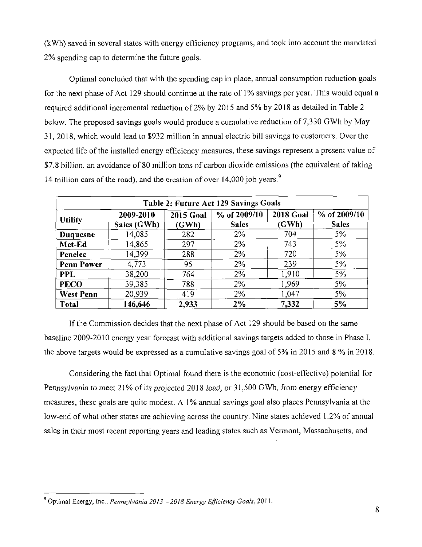(kWh) saved in several states with energy efficiency programs, and took into account the mandated 2% spending cap to determine the future goals.

Optimal concluded that with the spending cap in place, annual consumption reduction goals for the next phase of Act 129 should continue at the rate of 1% savings per year. This would equal a required additional incremental reduction of 2% by 2015 and 5% by 2018 as detailed in Table 2 below. The proposed savings goals would produce a cumulative reduction of 7,330 GWh by May 31, 2018, which would lead to \$932 million in annual electric bill savings to customers. Over the expected life of the installed energy efficiency measures, these savings represent a present value of \$7.8 billion, an avoidance of 80 million tons of carbon dioxide emissions (the equivalent of taking 14 million cars of the road), and the creation of over 14,000 job years.<sup>9</sup>

| Table 2: Future Act 129 Savings Goals |                          |                           |                              |                           |                              |  |  |  |  |  |
|---------------------------------------|--------------------------|---------------------------|------------------------------|---------------------------|------------------------------|--|--|--|--|--|
| <b>Utility</b>                        | 2009-2010<br>Sales (GWh) | <b>2015 Goal</b><br>(GWh) | % of 2009/10<br><b>Sales</b> | <b>2018 Goal</b><br>(GWh) | % of 2009/10<br><b>Sales</b> |  |  |  |  |  |
| Duquesne                              | 14,085                   | 282                       | 2%                           | 704                       | 5%                           |  |  |  |  |  |
| Met-Ed                                | 14,865                   | 297                       | $2\%$                        | 743                       | 5%                           |  |  |  |  |  |
| Penelec                               | 14,399                   | 288                       | 2%                           | 720                       | 5%                           |  |  |  |  |  |
| <b>Penn Power</b>                     | 4.773                    | 95                        | 2%                           | 239                       | 5%                           |  |  |  |  |  |
| <b>PPL</b>                            | 38,200                   | 764                       | 2%                           | 1,910                     | 5%                           |  |  |  |  |  |
| <b>PECO</b>                           | 39,385                   | 788                       | 2%                           | 1,969                     | 5%                           |  |  |  |  |  |
| <b>West Penn</b>                      | 20,939                   | 419                       | 2%                           | 1,047                     | 5%                           |  |  |  |  |  |
| <b>Total</b>                          | 146,646                  | 2,933                     | 2%                           | 7,332                     | 5%                           |  |  |  |  |  |

If the Commission decides that the next phase of Act 129 should be based on the same baseline 2009-2010 energy year forecast with additional savings targets added to those in Phase I, the above targets would be expressed as a cumulative savings goal of 5% in 2015 and 8 % in 2018.

Considering the fact that Optimal found there is the economic (cost-effective) potential for Pennsylvania to meet 21% of its projected 2018 load, or 31,500 GWh, from energy efficiency measures, these goals are quite modest. A 1% annual savings goal also places Pennsylvania at the low-end of what other states are achieving across the country. Nine states achieved 1.2% of annual sales in their most recent reporting years and leading states such as Vermont, Massachusetts, and

<sup>&</sup>lt;sup>9</sup> Optimal Energy, Inc., Pennsylvania 2013 - 2018 Energy Efficiency Goals, 2011.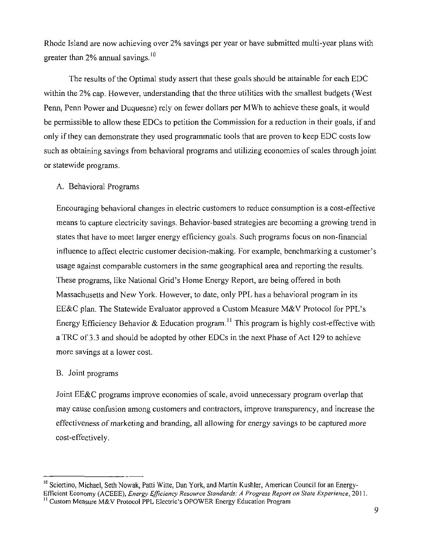Rhode Island are now achieving over 2% savings per year or have submitted multi-year plans with greater than  $2\%$  annual savings.<sup>10</sup>

The results of the Optimal study assert that these goals should be attainable for each EDC within the 2% cap. However, understanding that the three utilities with the smallest budgets (West Penn, Penn Power and Duquesne) rely on fewer dollars per MWh to achieve these goals, it would be permissible to allow these EDCs to petition the Commission for a reduction in their goals, if and only if they can demonstrate they used programmatic tools that are proven to keep EDC costs low such as obtaining savings from behavioral programs and utilizing economies of scales through joint or statewide programs.

#### A. Behavioral Programs

Encouraging behavioral changes in electric customers to reduce consumption is a cost-effective means to capture electricity savings. Behavior-based strategies are becoming a growing trend in states that have to meet larger energy efficiency goals. Such programs focus on non-financial influence to affect electric customer decision-making. For example, benchmarking a customer's usage against comparable customers in the same geographical area and reporting the results. These programs, like National Grid's Home Energy Report, are being offered in both Massachusetts and New York. However, to date, only PPL has a behavioral program in its EE&C plan. The Statewide Evaluator approved a Custom Measure M&V Protocol for PPL's Energy Efficiency Behavior & Education program.<sup>11</sup> This program is highly cost-effective with a TRC of 3.3 and should be adopted by other EDCs in the next Phase of Act 129 to achieve more savings at a lower cost.

#### B. Joint programs

Joint EE&C programs improve economies of scale, avoid unnecessary program overlap that may cause confusion among customers and contractors, improve transparency, and increase the effectiveness of marketing and branding, all allowing for energy savings to be captured more cost-effectively.

<sup>&</sup>lt;sup>10</sup> Sciortino, Michael, Seth Nowak, Patti Witte, Dan York, and Martin Kushler, American Council for an Energy-Efficient Economy (ACEEE), Energy Efficiency Resource Standards: A Progress Report on State Experience, 2011.

<sup>&</sup>lt;sup>11</sup> Custom Measure M&V Protocol PPL Electric's OPOWER Energy Education Program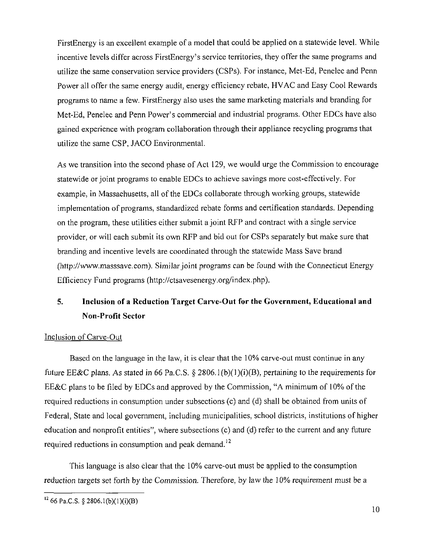FirstEnergy is an excellent example of a model that could be applied on a statewide level. While incentive levels differ across FirstEnergy's service territories, they offer the same programs and utilize the same conservation service providers (CSPs). For instance, Met-Ed, Penelec and Penn Power all offer the same energy audit, energy efficiency rebate, HVAC and Easy Cool Rewards programs to name a few. FirstEnergy also uses the same marketing materials and branding for Met-Ed, Penelec and Penn Power's commercial and industrial programs. Other EDCs have also gained experience with program collaboration through their appliance recycling programs that utilize the same CSP, JACO Environmental.

As we transition into the second phase of Act 129, we would urge the Commission to encourage statewide or joint programs to enable EDCs to achieve savings more cost-effectively. For example, in Massachusetts, all of the EDCs collaborate through working groups, statewide implementation of programs, standardized rebate forms and certification standards. Depending on the program, these utilities either submit a joint RFP and contract with a single service provider, or will each submit its own RFP and bid out for CSPs separately but make sure that branding and incentive levels are coordinated through the statewide Mass Save brand (http://www.masssave.com). Similar joint programs can be found with the Connecticut Energy Efficiency Fund programs (http://ctsavesenergy.org/index.php).

# **5. Inclusion of a Reduction Target Carve-Out for the Government, Educational and Non-Profit Sector**

#### Inclusion of Carve-Out

Based on the language in the law, it is clear that the 10% carve-out must continue in any future EE&C plans. As stated in 66 Pa.C.S. § 2806.1(b)(1)(i)(B), pertaining to the requirements for EE&C plans to be filed by EDCs and approved by the Commission, "A minimum of 10% of the required reductions in consumption under subsections (c) and (d) shall be obtained from units of Federal, State and local government, including municipalities, school districts, institutions of higher education and nonprofit entities", where subsections (c) and (d) refer to the current and any future required reductions in consumption and peak demand.<sup>12</sup>

This language is also clear that the 10% carve-out must be applied to the consumption reduction targets set forth by the Commission. Therefore, by law the 10% requirement must be a

 $1266$  Pa.C.S. § 2806.1(b)(1)(i)(B)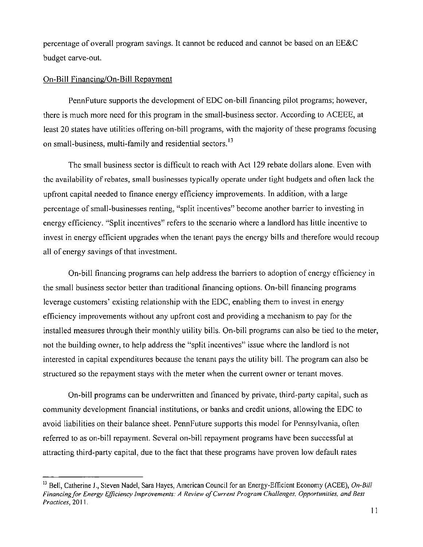percentage of overall program savings. It cannot be reduced and cannot be based on an EE&C budget carve-out.

#### On-Bill Financing/On-Bill Repayment

PennFuture supports the development of EDC on-bill financing pilot programs; however, there is much more need for this program in the small-business sector. According to ACEEE, at least 20 states have utilities offering on-bill programs, with the majority of these programs focusing on small-business, multi-family and residential sectors.<sup>13</sup>

The small business sector is difficult lo reach with Act 129 rebate dollars alone. Even with the availability of rebates, small businesses typically operate under tight budgets and often lack the upfront capital needed to finance energy efficiency improvements. In addition, with a large percentage of small-businesses renting, "split incentives" become another barrier to investing in energy efficiency. "Split incentives" refers lo the scenario where a landlord has little incentive to invest in energy efficient upgrades when the tenant pays the energy bills and therefore would recoup all of energy savings of that investment.

On-bill financing programs can help address the barriers to adoption of energy efficiency in the small business sector better than traditional financing options. On-bill financing programs leverage customers' existing relationship with the EDC, enabling them lo invest in energy efficiency improvements without any upfront cost and providing a mechanism to pay for the installed measures through their monthly utility bills. On-bill programs can also be tied to the meter, not the building owner, to help address the "split incentives" issue where the landlord is not interested in capital expenditures because the tenant pays the utility bill. The program can also be structured so the repayment stays with the meter when the current owner or tenant moves.

On-bill programs can be underwritten and financed by private, third-party capital, such as community development financial institutions, or banks and credit unions, allowing the EDC to avoid liabilities on their balance sheet. PennFuture supports this model for Pennsylvania, often referred to as on-bill repayment. Several on-bill repayment programs have been successful at attracting third-party capital, due to the fact that these programs have proven low default rates

<sup>&</sup>lt;sup>13</sup> Bell, Catherine J., Steven Nadel, Sara Hayes, American Council for an Energy-Efficient Economy (ACEE), *On-Bill* Financing/or Energy Efficiency Improvements: A Review of Current Program Challenges, Opportunities, and Best Practices, 2011.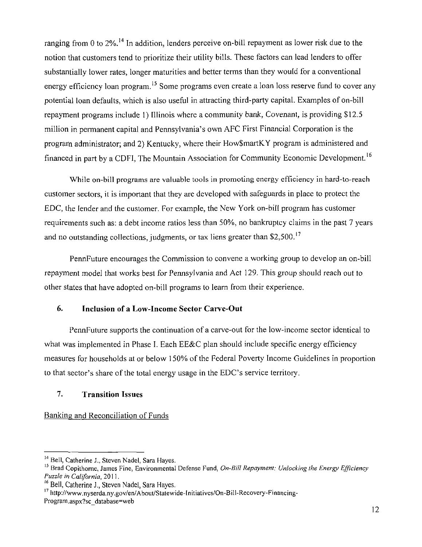ranging from 0 to 2%.<sup>14</sup> In addition, lenders perceive on-bill repayment as lower risk due to the notion that customers tend to prioritize their utility bills. These factors can lead lenders to offer substantially lower rates, longer maturities and better terms than they would for a conventional energy efficiency loan program.<sup>15</sup> Some programs even create a loan loss reserve fund to cover any potential loan defaults, which is also useful in attracting third-party capital. Examples of on-bill repayment programs include 1) Illinois where a community bank, Covenant, is providing \$12.5 million in permanent capital and Pennsylvania's own AFC First Financial Corporation is the program administrator; and 2) Kentucky, where their How\$martKY program is administered and financed in part by a CDFI, The Mountain Association for Community Economic Development.<sup>16</sup>

While on-bill programs are valuable tools in promoting energy efficiency in hard-to-reach customer sectors, it is important that they are developed with safeguards in place to protect the EDC, the lender and the customer. For example, the New York on-bill program has customer requirements such as: a debt income ratios less than 50%, no bankruptcy claims in the past 7 years and no outstanding collections, judgments, or tax liens greater than \$2,500.<sup>17</sup>

PennFuture encourages the Commission to convene a working group to develop an on-bill repayment model that works best for Pennsylvania and Act 129. This group should reach out to other states that have adopted on-bill programs to learn from their experience.

#### **6. Inclusion of a Low-Income Sector Carve-Out**

PennFuture supports the continuation of a carve-out for the low-income sector identical to what was implemented in Phase I. Each  $E\&C$  plan should include specific energy efficiency measures for households at or below 150%) of the Federal Poverty Income Guidelines in proportion to that sector's share of the total energy usage in the EDC's service territory.

## **7. Transition Issues**

## Banking and Reconciliation of Funds

<sup>&</sup>lt;sup>14</sup> Bell, Catherine J., Steven Nadel, Sara Hayes.

<sup>&</sup>lt;sup>15</sup> Brad Copithorne, James Fine, Environmental Defense Fund, On-Bill Repayment: Unlocking the Energy Efficiency Puzzle in California, 2011.

<sup>&</sup>lt;sup>16</sup> Bell, Catherine J., Steven Nadel, Sara Hayes.

<sup>&</sup>lt;sup>17</sup> http://www.nyserda.ny.gov/en/About/Statewide-Initiatives/On-Bill-Recovery-Financing-

Program.aspx?sc\_database=web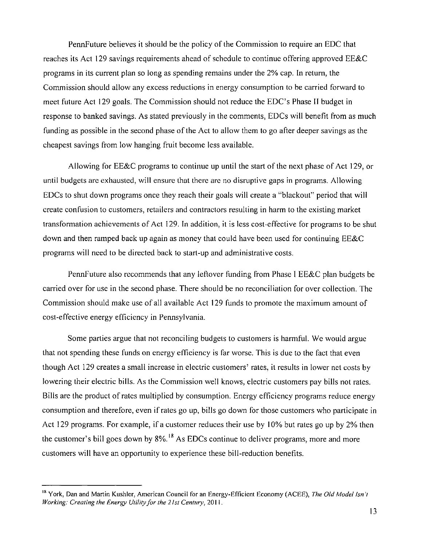PennFuture believes it should be the policy of the Commission to require an EDC that reaches its Act 129 savings requirements ahead of schedule to continue offering approved EE&C programs in its current plan so long as spending remains under the 2% cap. In return, the Commission should allow any excess reductions in energy consumption to be carried forward to meet future Act 129 goals. The Commission should not reduce the EDC's Phase II budget in response to banked savings. As stated previously in the comments, EDCs will benefit from as much funding as possible in the second phase of the Act to allow them to go after deeper savings as the cheapest savings from low hanging fruit become less available.

Allowing for EE&C programs to continue up until the start of the next phase of Act 129. or until budgets are exhausted, will ensure that there are no disruptive gaps in programs. Allowing EDCs to shut down programs once they reach their goals will create a "blackout" period that will create confusion to customers, retailers and contractors resulting in harm to the existing market transformation achievements of Act 129. In addition, it is less cost-effective for programs to be shut down and then ramped back up again as money that could have been used for continuing EE&C programs will need to be directed back to start-up and administrative costs.

PennFuture also recommends that any leftover funding from Phase I EE&C plan budgets be carried over for use in the second phase. There should be no reconciliation for over collection. The Commission should make use of all available Act 129 funds lo promote the maximum amount of cost-effective energy efficiency in Pennsylvania.

Some parties argue that not reconciling budgets to customers is harmful. We would argue that not spending these funds on energy efficiency is far worse. This is due to the fact that even though Act 129 creates a small increase in electric customers' rates, it results in lower net costs by lowering their electric bills. As the Commission well knows, electric customers pay bills not rates. Bills are the product of rates multiplied by consumption. Energy efficiency programs reduce energy consumption and therefore, even if rates go up, bills go down for those customers who participate in Act 129 programs. For example, if a customer reduces their use by 10% but rales go up by 2% then the customer's bill goes down by 8%.<sup>18</sup> As EDCs continue to deliver programs, more and more customers will have an opportunity to experience these bill-reduction benefits.

customers will have an opportunity to experience these bill-reduction benefits.

<sup>&</sup>lt;sup>18</sup> York, Dan and Martin Kushler, American Council for an Energy-Efficient Economy (ACEE), The Old Model Isn't *Working: Creating the Energy Utility for the 21st Century, 2011.*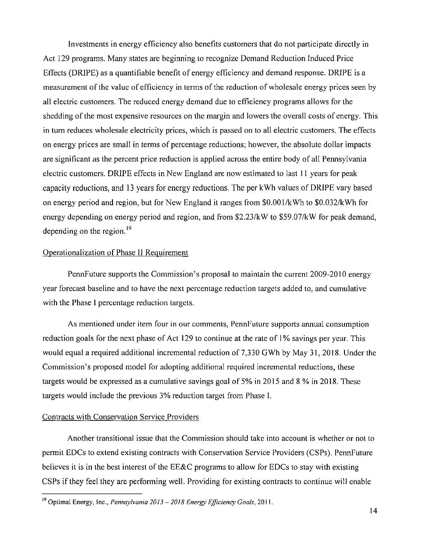Investments in energy efficiency also benefits customers that do not participate directly in Act 129 programs. Many states are beginning to recognize Demand Reduction Induced Price Effects (DRIPE) as a quantifiable benefit of energy efficiency and demand response. DRIPE is a measurement of the value of efficiency in terms of the reduction of wholesale energy prices seen by all electric customers. The reduced energy demand due to efficiency programs allows for the shedding of the most expensive resources on the margin and lowers the overall costs of energy. This in turn reduces wholesale electricity prices, which is passed on to all electric customers. The effects on energy prices are small in terms of percentage reductions; however, the absolute dollar impacts are significant as the percent price reduction is applied across the entire body of all Pennsylvania electric customers. DRIPE effects in New England are now estimated to last 11 years for peak capacity reductions, and 13 years for energy reductions. The per kWh values of DRIPE vary based on energy period and region, but for New England it ranges from \$0.001/kWh to \$0.032/kWh for energy depending on energy period and region, and from \$2.23/kW to \$59.07/kW for peak demand, depending on the region. $19$ 

#### Operationalization of Phase II Requirement

PennFuture supports the Commission's proposal to maintain the current 2009-2010 energy year forecast baseline and to have the next percentage reduction targets added to, and cumulative with the Phase I percentage reduction targets.

As mentioned under item four in our comments, PennFuture supports annual consumption reduction goals for the next phase of Act 129 lo continue at the rale of 1% savings per year. This would equal a required additional incremental reduction of 7,330 GWh by May 31, 2018. Under the Commission's proposed model for adopting additional required incremental reductions, these targets would be expressed as a cumulative savings goal of 5% in 2015 and 8 % in 2018. These targets would include the previous 3% reduction target from Phase I.

#### Contracts with Conservation Service Providers

Another transitional issue that the Commission should take into account is whether or not to permit EDCs to extend existing contracts with Conservation Service Providers (CSPs). PennFuture believes it is in the best interest of the EE&C programs to allow for EDCs to stay with existing CSPs if they feel they are performing well. Providing for existing contracts to continue will enable

<sup>&</sup>lt;sup>19</sup> Optimal Energy, Inc., *Pennsylvania 2013 – 2018 Energy Efficiency Goals*, 2011.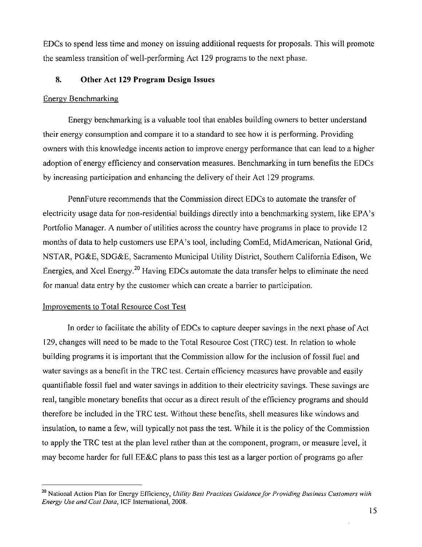EDCs to spend less time and money on issuing additional requests for proposals. This will promote the seamless transition of well-performing Act 129 programs to the next phase.

#### **8. Other Act 129 Program Design Issues**

#### Energy Benchmarking

Energy benchmarking is a valuable tool that enables building owners lo better understand their energy consumption and compare it to a standard to see how it is performing. Providing owners with this knowledge incenls action to improve energy performance that can lead to a higher adoption of energy efficiency and conservation measures. Benchmarking in turn benefits the EDCs by increasing participation and enhancing the delivery of their Act 129 programs.

PennFuture recommends that the Commission direct EDCs to automate the transfer of electricity usage data for non-residential buildings directly into a benchmarking system, like EPA's Portfolio Manager. A number of utilities across the country have programs in place to provide 12 months of data to help customers use EPA's tool, including ComEd, MidAmerican, National Grid, NSTAR, PG&E, SDG&E, Sacramento Municipal Utility District, Southern California Edison, We Energies, and Xcel Energy.<sup>20</sup> Having EDCs automate the data transfer helps to eliminate the need for manual data entry by the customer which can create a barrier to participation.

#### Improvements to Total Resource Cost Test

In order to facilitate the ability of EDCs to capture deeper savings in the next phase of Act 129, changes will need to be made to the Total Resource Cost (TRC) test. In relation lo whole building programs it is important that the Commission allow forthe inclusion of fossil fuel and water savings as a benefit in the TRC test. Certain efficiency measures have provable and easily quantifiable fossil fuel and water savings in addition to their electricity savings. These savings are real, tangible monetary benefits that occur as a direct result of the efficiency programs and should therefore be included in the TRC test. Without these benefits, shell measures like windows and insulation, to name a few, will typically not pass the test. While it is the policy of the Commission to apply the TRC test at the plan level rather than at the component, program, or measure level, it may become harder for full EE&C plans to pass this test as a larger portion of programs go after

<sup>&</sup>lt;sup>20</sup> National Action Plan for Energy Efficiency, Utility Best Practices Guidance for Providing Business Customers with Energy Use and Cost Data, 1CF International, 2008.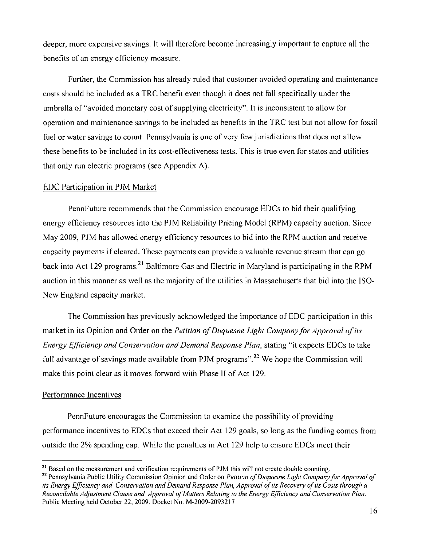deeper, more expensive savings. It will therefore become increasingly important to capture all the benefits of an energy efficiency measure.

Further, the Commission has already ruled that customer avoided operating and maintenance costs should be included as a TRC benefit even though it does not fall specifically under the umbrella of "avoided monetary cost of supplying electricity". It is inconsistent to allow for operation and maintenance savings to be included as benefits in the TRC test but not allow for fossil fuel or water savings to count. Pennsylvania is one of very few jurisdictions that does not allow these benefits to be included in its cost-effectiveness tests. This is true even for states and utilities that only run electric programs (see Appendix A).

#### EDC Participation in PJM Market

PennFuture recommends that the Commission encourage EDCs to bid their qualifying energy efficiency resources into the PJM Reliability Pricing Model (RPM) capacity auction. Since May 2009, PJM has allowed energy efficiency resources to bid into the RPM auction and receive capacity payments if cleared. These payments can provide a valuable revenue stream that can go back into Act 129 programs.<sup>21</sup> Baltimore Gas and Electric in Maryland is participating in the RPM auction in this manner as well as the majority of the utilities in Massachusetts that bid into the ISO-New England capacity market.

The Commission has previously acknowledged the importance of EDC participation in this market in its Opinion and Order on the *Petition of Duquesne Light Company for Approval of its* Energy Efficiency and Conservation and Demand Response Plan, stating "it expects EDCs to take full advantage of savings made available from PJM programs".<sup>22</sup> We hope the Commission will make this point clear as it moves forward with Phase II of Act 129.

#### Performance Incentives

PennFuture encourages the Commission to examine the possibility of providing performance incentives to EDCs that exceed their Act 129 goals, so long as the funding comes from outside the 2% spending cap. While the penalties in Act 129 help to ensure EDCs meet their

 $\frac{21}{21}$  Based on the measurement and verification requirements of PJM this will not create double counting.

<sup>&</sup>lt;sup>22</sup> Pennsylvania Public Utility Commission Opinion and Order on Petition of Duquesne Light Company for Approval of its Energy Efficiency and Conservation and Demand Response Plan, Approval of its Recovery of its Costs through a Reconcilable Adjustment Clause and Approval of Matters Relating to the Energy Efficiency and Conservation Plan. Public Meeting held October 22, 2009. Docket No. M-2009-2093217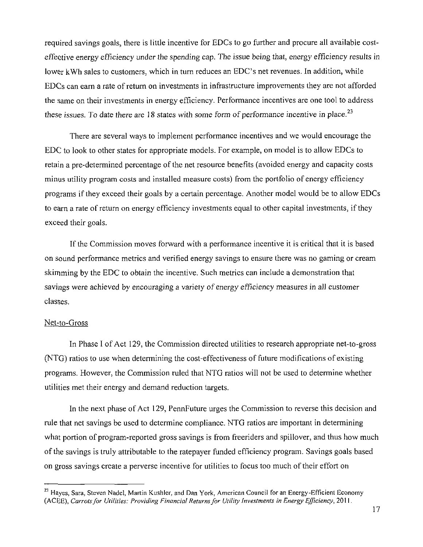required savings goals, there is little incentive for EDCs to go further and procure all available costeffective energy efficiency under the spending cap. The issue being that, energy efficiency results in lower kWh sales to customers, which in turn reduces an EDC's net revenues. In addition, while EDCs can earn a rate of return on investments in infrastructure improvements they are not afforded the same on their investments in energy efficiency. Performance incentives are one tool to address these issues. To date there are 18 states with some form of performance incentive in place.<sup>23</sup>

There are several ways to implement performance incentives and we would encourage the EDC to look to other states for appropriate models. For example, on model is to allow EDCs to retain a pre-determined percentage of the net resource benefits (avoided energy and capacity costs minus utility program costs and installed measure costs) from the portfolio of energy efficiency programs if they exceed their goals by a certain percentage. Another model would be to allow EDCs to earn a rate of return on energy efficiency investments equal to other capital investments, if they exceed their goals.

If the Commission moves forward with a performance incentive it is critical that it is based on sound performance metrics and verified energy savings to ensure there was no gaming or cream skimming by the EDC to obtain the incentive. Such metrics can include a demonstration that savings were achieved by encouraging a variety of energy efficiency measures in all customer classes.

#### Net-to-Gross

In Phase I of Act 129, the Commission directed utilities to research appropriate net-to-gross (NTG) ratios to use when determining the cost-effectiveness of future modifications of existing programs. However, the Commission ruled that NTG ratios will not be used to determine whether utilities met their energy and demand reduction targets.

In the next phase of Act 129, PennFuture urges the Commission to reverse this decision and rule that net savings be used to determine compliance. NTG ratios are important in determining what portion of program-reported gross savings is from freeriders and spillover, and thus how much of the savings is truly attributable to the ratepayer funded efficiency program. Savings goals based on gross savings create a perverse incentive for utilities to focus too much of their effort on

<sup>&</sup>lt;sup>23</sup> Hayes, Sara, Steven Nadel, Martin Kushler, and Dan York, American Council for an Energy-Efficient Economy (ACEE), Carrots for Utilities: Providing Financial Returns for Utility Investments in Energy Efficiency, 2011.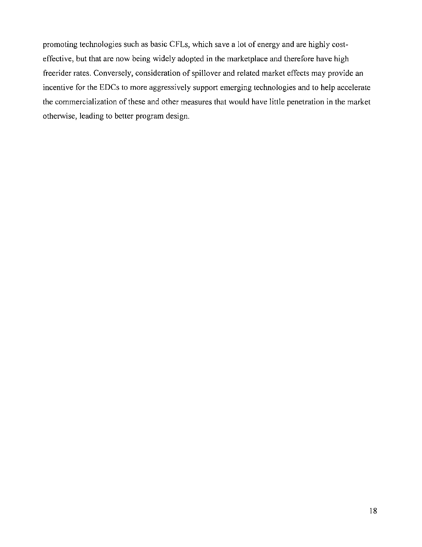promoting technologies such as basic CFLs, which save a lot of energy and are highly costeffective, but that are now being widely adopted in the marketplace and therefore have high freerider rates. Conversely, consideration of spillover and related market effects may provide an incentive for the EDCs to more aggressively support emerging technologies and to help accelerate the commercialization of these and other measures that would have little penetration in the market otherwise, leading to better program design.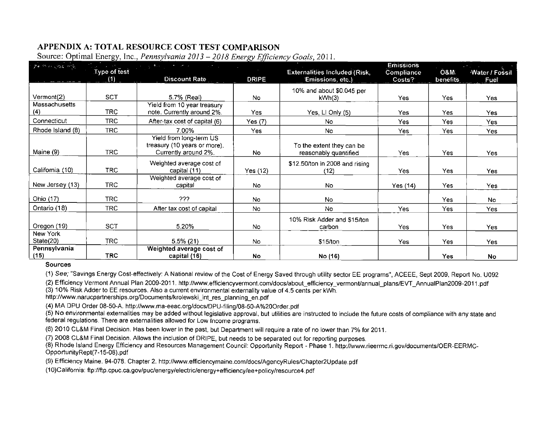# APPENDIX A: TOTAL RESOURCE COST TEST COMPARISON

| person was me.       |                     | $\mathcal{A}^{\mathcal{A}}$ , we see that the contribution of the contribution of the contribution of the contribution of the contribution of the contribution of the contribution of the contribution of the contribution of the contrib |              |                                                          | <b>Emissions</b> |                 | <b>Service</b> State |
|----------------------|---------------------|-------------------------------------------------------------------------------------------------------------------------------------------------------------------------------------------------------------------------------------------|--------------|----------------------------------------------------------|------------------|-----------------|----------------------|
|                      | Type of test<br>(1) | <b>Discount Rate</b>                                                                                                                                                                                                                      | <b>DRIPE</b> | <b>Externalities Included (Risk,</b><br>Emissions, etc.) | Compliance       | <b>O&amp;M.</b> | Water / Fossil       |
|                      |                     |                                                                                                                                                                                                                                           |              |                                                          | Costs?           | benefits        | Fuel                 |
|                      |                     |                                                                                                                                                                                                                                           |              | 10% and about \$0.045 per                                |                  |                 |                      |
| Vermont(2)           | <b>SCT</b>          | 5.7% (Real)                                                                                                                                                                                                                               | No.          | kWh(3)                                                   | Yes.             | Yes             | Yes                  |
| Massachusetts        |                     | Yield from 10 year treasury                                                                                                                                                                                                               |              |                                                          |                  |                 |                      |
| (4)                  | <b>TRC</b>          | note. Currently around 2%.                                                                                                                                                                                                                | Yes.         | Yes, Ll Only (5)                                         | Yes              | Yes             | Yes:                 |
| Connecticut          | TRC.                | After-tax cost of capital (6)                                                                                                                                                                                                             | Yes (7)      | No.                                                      | Yes.             | Yes             | Yes                  |
| Rhode Island (8)     | <b>TRC</b>          | 7.00%                                                                                                                                                                                                                                     | Yes:         | No.                                                      | Yes.             | Yes             | Yes                  |
| Maine (9)            | <b>TRC</b>          | Yield from long-term $\overline{\mathsf{US}}$<br>treasury (10 years or more).<br>Currently around 2%.                                                                                                                                     | <b>No</b>    | To the extent they can be<br>reasonably quantified       | Yes:             | Yes             | Yes                  |
| California (10)      | <b>TRC</b>          | Weighted average cost of<br>capital (11)                                                                                                                                                                                                  | Yes (12)     | \$12.50/ton in 2008 and rising<br>(12)                   | Yes:             | Yes             | Yes                  |
| New Jersey (13)      | TRC.                | Weighted average cost of<br>capital                                                                                                                                                                                                       | No.          | No.                                                      | Yes (14)         | Yes             | Yes                  |
| Ohio (17)            | TRC.                | ???                                                                                                                                                                                                                                       | No           | No.                                                      |                  | Yes.            | No.                  |
| Ontario (18)         | TRC                 | After tax cost of capital                                                                                                                                                                                                                 | <b>No</b>    | No.                                                      | Yes              | <b>Yes</b>      | Yes.                 |
| Oregon (19)          | SCT                 | 5.20%                                                                                                                                                                                                                                     | <b>No</b>    | 10% Risk Adder and \$15/ton<br>carbon                    | Yes:             | Yes             | Yes                  |
| New York             |                     |                                                                                                                                                                                                                                           |              |                                                          |                  |                 |                      |
| State(20)            | <b>TRC</b>          | $5.5\%$ (21)                                                                                                                                                                                                                              | No.          | \$15/ton                                                 | Yes.             | Yes             | Yes                  |
| Pennsylvania<br>(15) | <b>TRC</b>          | Weighted average cost of<br>capital (16)                                                                                                                                                                                                  | No           | No (16)                                                  |                  | Yes             | <b>No</b>            |

Source: Optimal Energy. Inc., Pennsylvania 2013 - 2018 Energy Efficiency Goals, 2011.

#### **Sources**

(1) See; "Savings Energy Cost-effectively: A National review of the Cost of Energy Saved through utility sector EE programs", ACEEE, Sept 2009, Report No. U092

(2) Efficiency Vermont Annual Plan 2009-2011. http://www.efficiencyvermont.com/docs/about\_efficiency\_vermont/annual\_plans/EVT\_AnnualPlan2009-2011 .pdf

(3) 10% Risk Adder to EE resources. Also a current environmental externality value of 4.5 cents per kWh.

http://www.narucpartnerships.org/Documents/krolewski\_int\_res\_planning\_en.pdf

(4) MA DPU Order 08-50-A. http://www.ma-eeac.org/docs/DPU-filing/08-50-A%20Order.pdf

(5) No environmental externalities may be added without legislative approval, but utilities are instructed to include the future costs of compliance with any state and federal regulations. There are externalities allowed for Low Income programs.

(6) 2010 CL&M Final Decision. Has been lower in the past, but Department will require a rate of no lower than 7% for 2011.

(7) 2O08 CL&M Final Decision. Allows the inclusion of DRIPE, but needs to be separated out for reporting purposes.

(8) Rhode Island Energy Efficiency and Resources Management Council: Opportunity Report - Phase 1. http://www.rieermc.ri.gov/documents/OER-EERMC-OpportunityRept(7-15-08).pdf

(9) Efficiency Maine. 94-078. Chapter 2. http://www.efficiencymaine.com/docs/AgencyRules/Chapter2Update.pdf

(10) California: ftp://ftp.cpuc.ca.gov/puc/energy/electric/energy+efficiency/ee+policy/resource4.pdf